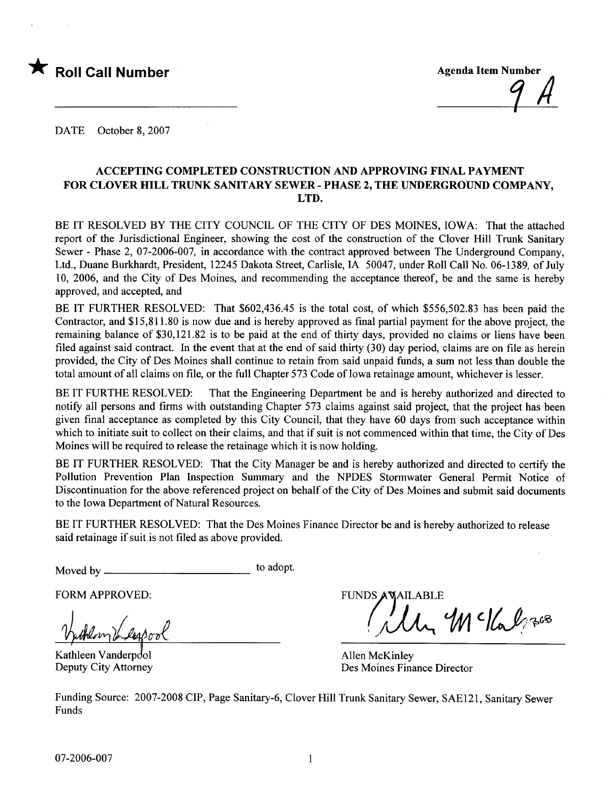

DATE October 8, 2007

#### ACCEPTING COMPLETED CONSTRUCTION AND APPROVING FINAL PAYMENT FOR CLOVER HILL TRUNK SANITARY SEWER - PHASE 2, THE UNDERGROUND COMPANY. LTD.

BE IT RESOLVED BY THE CITY COUNCIL OF THE CITY OF DES MOINES, IOWA: That the attached report of the Jurisdictional Engineer, showing the cost of the construction of the Clover Hill Trunk Sanitary Sewer - Phase 2, 07-2006-007, in accordance with the contract approved between The Underground Company, Ltd., Duane Burkhardt, President, 12245 Dakota Street, Carlisle, IA 50047, under Roll Call No. 06-1389, of July 10, 2006, and the City of Des Moines, and recommending the acceptance thereof, be and the same is hereby approved, and accepted, and

BE IT FURTHER RESOLVED: That \$602,436.45 is the total cost, of which \$556,502.83 has been paid the Contractor, and \$15,811.80 is now due and is hereby approved as final partial payment for the above project, the remaining balance of \$30,121.82 is to be paid at the end of thirty days, provided no claims or liens have been filed against said contract. In the event that at the end of said thirty  $(30)$  day period, claims are on file as herein provided, the City of Des Moines shall continue to retain from said unpaid funds, a sum not less than double the total amount of all claims on file, or the full Chapter 573 Code of Iowa retainage amount, whichever is lesser.

BE IT FURTHE RESOLVED: That the Engineering Department be and is hereby authorized and directed to notify all persons and firms with outstanding Chapter 573 claims against said project, that the project has been given final acceptance as completed by this City Council, that they have 60 days from such acceptance within which to initiate suit to collect on their claims, and that if suit is not commenced within that time, the City of Des Moines will be required to release the retainage which it is now holding.

BE IT FURTHER RESOLVED: That the City Manager be and is hereby authorized and directed to certify the Pollution Prevention Plan Inspection Summary and the NPDES Stormwater General Permit Notice of Discontinuation for the above referenced project on behalf of the City of Des Moines and submit said documents to the Iowa Department of Natural Resources.

BE IT FURTHER RESOLVED: That the Des Moines Finance Director be and is hereby authorized to release said retainage if suit is not fied as above provided.

Moved by to adopt.

FORM APPROVED: FUNDS

Kathleen Vanderpool Deputy City Attorney

 $\iota$  '  $\mathcal{W}$  c/ $\iota$   $\iota$   $\mathscr{S}^{\mathrm{ss}}$ 

Allen McKinley Des Moines Finance Director

Funding Source: 2007-2008 CIP, Page Sanitary-6, Clover Hill Trunk Sanitary Sewer, SAE121, Sanitary Sewer Funds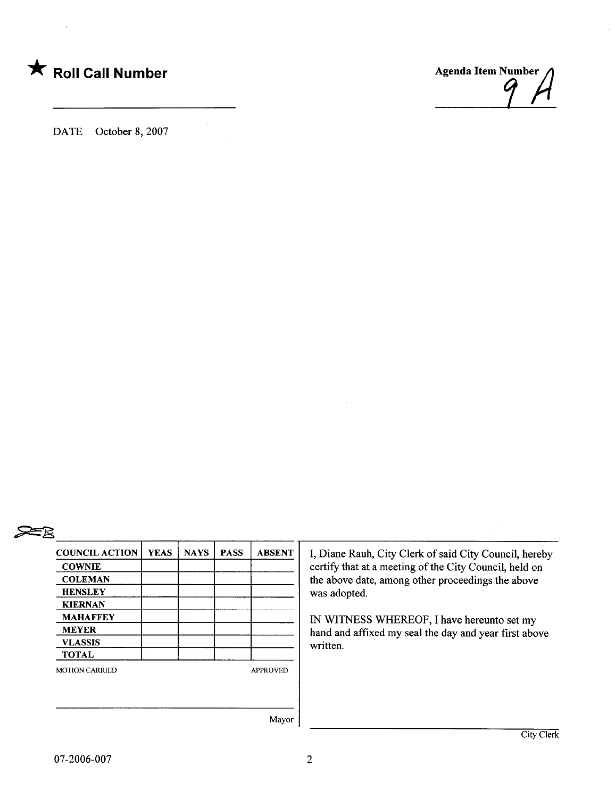

DATE October 8, 2007



# ~

| <b>COUNCIL ACTION</b> | <b>YEAS</b> | <b>NAYS</b> | <b>PASS</b> | <b>ABSENT</b>   |
|-----------------------|-------------|-------------|-------------|-----------------|
| <b>COWNIE</b>         |             |             |             |                 |
| <b>COLEMAN</b>        |             |             |             |                 |
| <b>HENSLEY</b>        |             |             |             |                 |
| <b>KIERNAN</b>        |             |             |             |                 |
| <b>MAHAFFEY</b>       |             |             |             |                 |
| <b>MEYER</b>          |             |             |             |                 |
| <b>VLASSIS</b>        |             |             |             |                 |
| <b>TOTAL</b>          |             |             |             |                 |
| <b>MOTION CARRIED</b> |             |             |             | <b>APPROVED</b> |
|                       |             |             |             |                 |
|                       |             |             |             | Mayor           |

I, Diane Rauh, City Clerk of said City Council, hereby certify that at a meeting of the City Council, held on the above date, among other proceedings the above was adopted.

IN WITNESS WHREOF, I have hereunto set my hand and affxed my seal the day and year first above written.

07-2006-007

2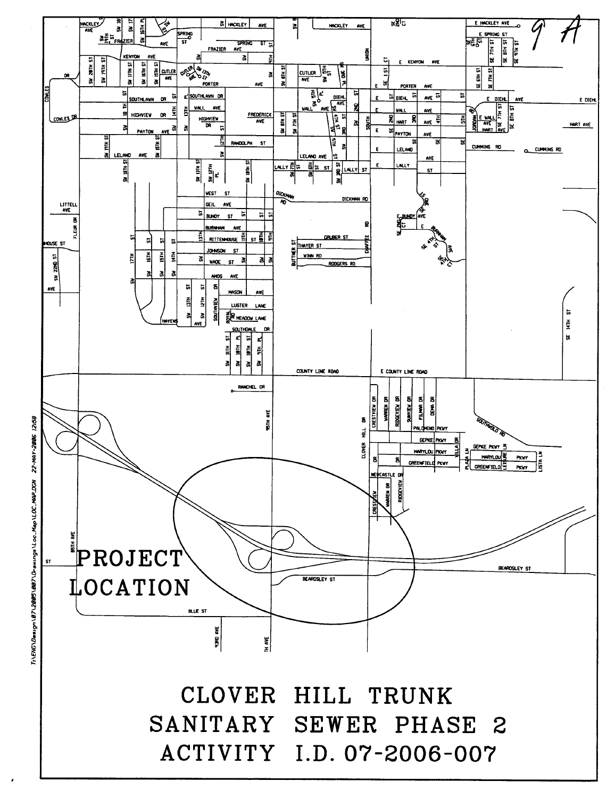

~ ~ ~ ~ .. ~ Design \87\2005\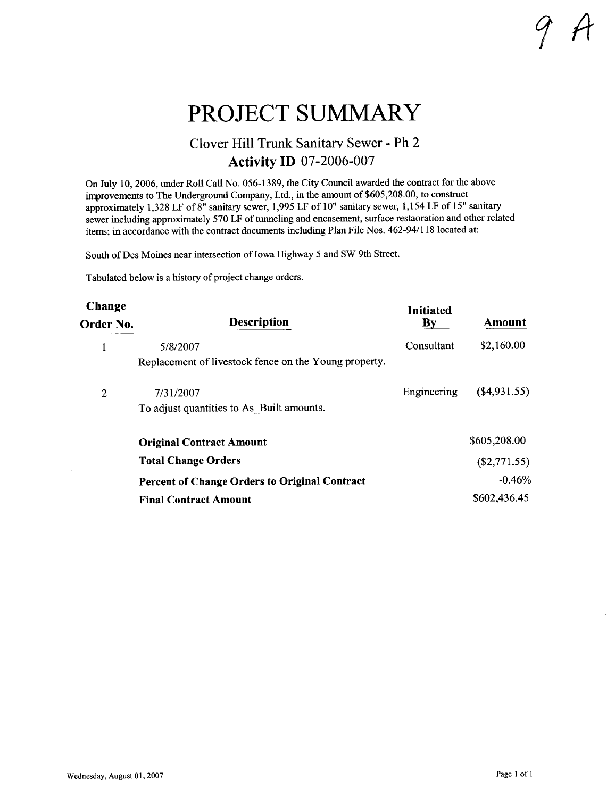### PROJECT SUMMARY

#### Clover Hill Trunk Sanitary Sewer - Ph 2 Activity ID 07-2006-007

On July 10, 2006, under Roll Call No. 056-1389, the City Council awarded the contract for the above improvements to The Underground Company, Ltd., in the amount of \$605,208.00, to construct approximately 1,328 LF of 8" sanitary sewer, 1,995 LF of 10" sanitary sewer, 1,154 LF of 15" sanitary sewer including approximately 570 LF of tunneling and encasement, surface restaoration and other related items; in accordance with the contract documents including Plan File Nos. 462-94/118 located at:

South of Des Moines near intersection of Iowa Highway 5 and SW 9th Street.

Tabulated below is a history of project change orders.

| Change<br>Order No. | <b>Description</b>                                    | <b>Initiated</b><br>By | Amount         |
|---------------------|-------------------------------------------------------|------------------------|----------------|
|                     | 5/8/2007                                              | Consultant             | \$2,160.00     |
|                     | Replacement of livestock fence on the Young property. |                        |                |
| 2                   | 7/31/2007                                             | Engineering            | (\$4,931.55)   |
|                     | To adjust quantities to As Built amounts.             |                        |                |
|                     | <b>Original Contract Amount</b>                       |                        | \$605,208.00   |
|                     | <b>Total Change Orders</b>                            |                        | $(\$2,771.55)$ |
|                     | <b>Percent of Change Orders to Original Contract</b>  |                        | $-0.46%$       |
|                     | <b>Final Contract Amount</b>                          |                        | \$602,436.45   |

1 It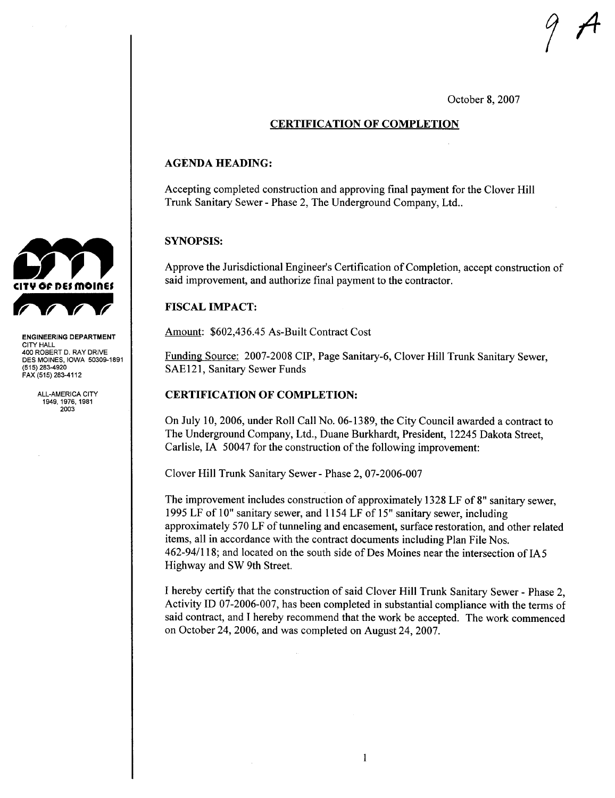October 8, 2007

 $\sqrt{2}$ 

#### CERTIFICATION OF COMPLETION

#### AGENDA HEADING:

Accepting completed construction and approving final payment for the Clover Hil Trunk Sanitary Sewer - Phase 2, The Underground Company, Ltd..

#### SYNOPSIS:

Approve the Jurisdictional Engineer's Certification of Completion, accept construction of said improvement, and authorize final payment to the contractor.

#### **FISCAL IMPACT:**

Amount: \$602,436.45 As-Built Contract Cost

Funding Source: 2007-2008 CIP, Page Sanitary-6, Clover Hill Trunk Sanitary Sewer, SAE121, Sanitary Sewer Funds

#### CERTIFICATION OF COMPLETION:

On July 10,2006, under Roll Call No. 06-1389, the City Council awarded a contract to The Underground Company, Ltd., Duane Burkhardt, President, 12245 Dakota Street, Carlisle, IA 50047 for the construction of the following improvement:

Clover Hill Trunk Sanitary Sewer - Phase 2, 07-2006-007

The improvement includes construction of approximately 1328 LF of 8" sanitary sewer, 1995 LF of 10" sanitary sewer, and 1154 LF of 15" sanitary sewer, including approximately 570 LF of tunneling and encasement, surface restoration, and other related items, all in accordance with the contract documents including Plan File Nos. 462-94/118; and located on the south side of Des Moines near the intersection of IA 5 Highway and SW 9th Street.

I hereby certify that the construction of said Clover Hill Trunk Sanitary Sewer - Phase 2, Activity ID 07-2006-007, has been completed in substantial compliance with the terms of said contract, and I hereby recommend that the work be accepted. The work commenced on October 24, 2006, and was completed on August 24, 2007.



ENGINEERING DEPARTMENT CITY HALL 400 ROBERT D. RAY DRIVE DES MOINES, IOWA 50309-1891 (515) 283-4920 FAX (515) 283-4112

> ALL-AMERICA CITY 1949,1976,1981 2003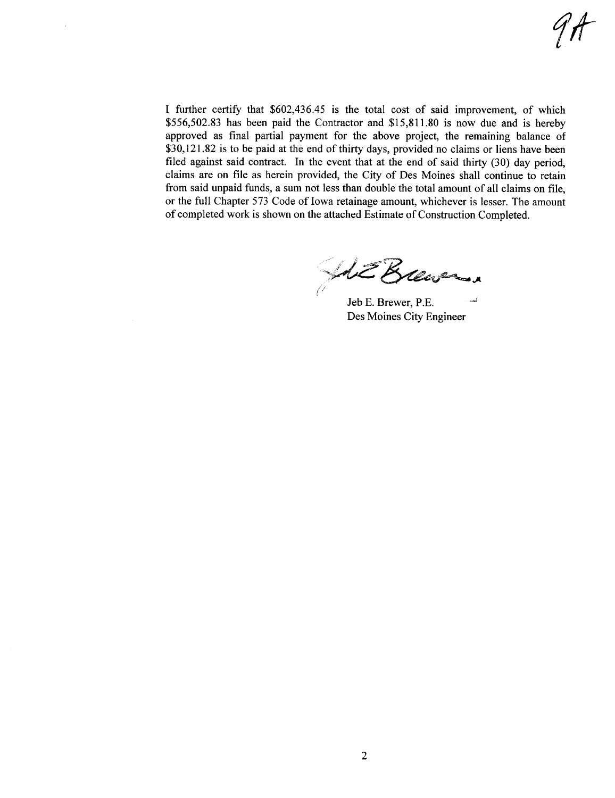I further certify that \$602,436.45 is the total cost of said improvement, of which \$556,502.83 has been paid the Contractor and \$15,811.80 is now due and is hereby approved as final partial payment for the above project, the remaining balance of  $$30,121.82$  is to be paid at the end of thirty days, provided no claims or liens have been filed against said contract. In the event that at the end of said thirty  $(30)$  day period, claims are on fie as herein provided, the City of Des Moines shall continue to retain from said unpaid funds, a sum not less than double the total amount of all claims on fie, or the full Chapter 573 Code of Iowa retainage amount, whichever is lesser. The amount of completed work is shown on the attached Estimate of Construction Completed.

ME Brewer

Jeb E. Brewer, P.E. Des Moines City Engineer ..